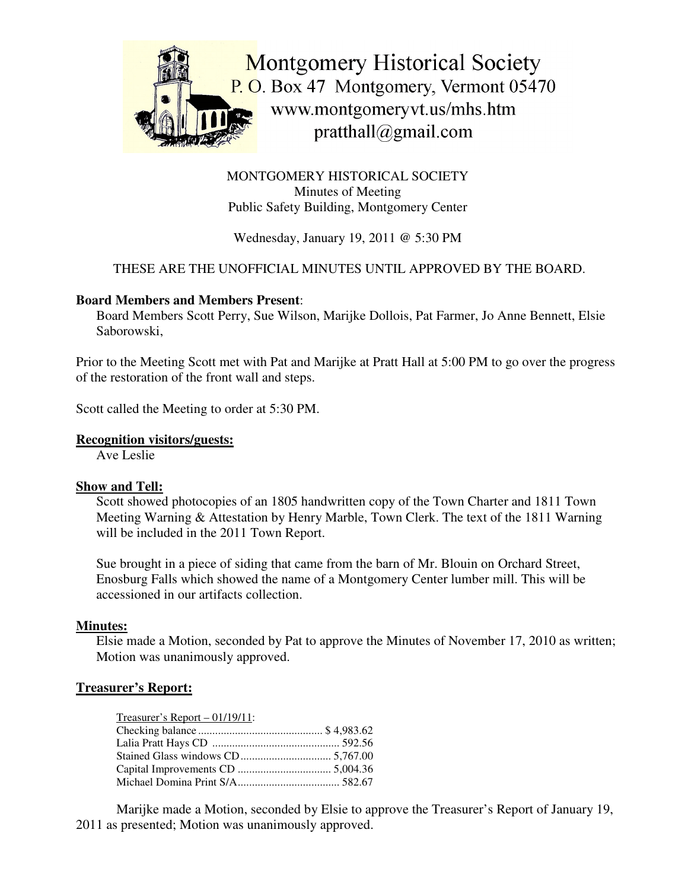

MONTGOMERY HISTORICAL SOCIETY Minutes of Meeting Public Safety Building, Montgomery Center

Wednesday, January 19, 2011 @ 5:30 PM

# THESE ARE THE UNOFFICIAL MINUTES UNTIL APPROVED BY THE BOARD.

## **Board Members and Members Present**:

Board Members Scott Perry, Sue Wilson, Marijke Dollois, Pat Farmer, Jo Anne Bennett, Elsie Saborowski,

Prior to the Meeting Scott met with Pat and Marijke at Pratt Hall at 5:00 PM to go over the progress of the restoration of the front wall and steps.

Scott called the Meeting to order at 5:30 PM.

## **Recognition visitors/guests:**

Ave Leslie

#### **Show and Tell:**

Scott showed photocopies of an 1805 handwritten copy of the Town Charter and 1811 Town Meeting Warning & Attestation by Henry Marble, Town Clerk. The text of the 1811 Warning will be included in the 2011 Town Report.

Sue brought in a piece of siding that came from the barn of Mr. Blouin on Orchard Street, Enosburg Falls which showed the name of a Montgomery Center lumber mill. This will be accessioned in our artifacts collection.

#### **Minutes:**

Elsie made a Motion, seconded by Pat to approve the Minutes of November 17, 2010 as written; Motion was unanimously approved.

# **Treasurer's Report:**

Marijke made a Motion, seconded by Elsie to approve the Treasurer's Report of January 19, 2011 as presented; Motion was unanimously approved.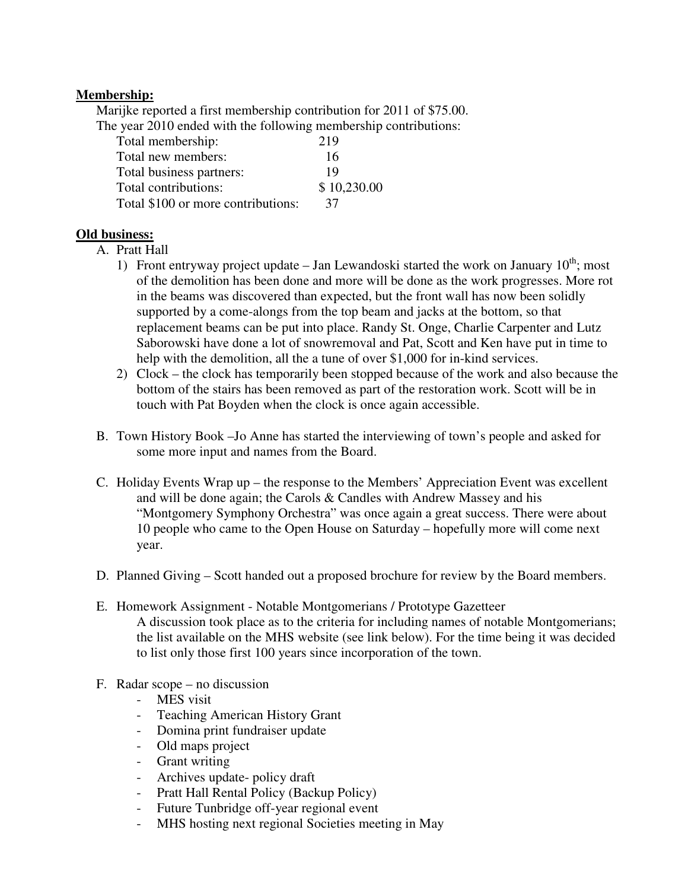## **Membership:**

Marijke reported a first membership contribution for 2011 of \$75.00.

The year 2010 ended with the following membership contributions:

| Total membership:                  | 219         |
|------------------------------------|-------------|
| Total new members:                 | 16          |
| Total business partners:           | 19          |
| Total contributions:               | \$10,230.00 |
| Total \$100 or more contributions: | 37          |

## **Old business:**

- A. Pratt Hall
	- 1) Front entryway project update  $-$  Jan Lewandoski started the work on January  $10^{th}$ ; most of the demolition has been done and more will be done as the work progresses. More rot in the beams was discovered than expected, but the front wall has now been solidly supported by a come-alongs from the top beam and jacks at the bottom, so that replacement beams can be put into place. Randy St. Onge, Charlie Carpenter and Lutz Saborowski have done a lot of snowremoval and Pat, Scott and Ken have put in time to help with the demolition, all the a tune of over \$1,000 for in-kind services.
	- 2) Clock the clock has temporarily been stopped because of the work and also because the bottom of the stairs has been removed as part of the restoration work. Scott will be in touch with Pat Boyden when the clock is once again accessible.
- B. Town History Book –Jo Anne has started the interviewing of town's people and asked for some more input and names from the Board.
- C. Holiday Events Wrap up the response to the Members' Appreciation Event was excellent and will be done again; the Carols & Candles with Andrew Massey and his "Montgomery Symphony Orchestra" was once again a great success. There were about 10 people who came to the Open House on Saturday – hopefully more will come next year.
- D. Planned Giving Scott handed out a proposed brochure for review by the Board members.
- E. Homework Assignment Notable Montgomerians / Prototype Gazetteer A discussion took place as to the criteria for including names of notable Montgomerians; the list available on the MHS website (see link below). For the time being it was decided to list only those first 100 years since incorporation of the town.
- F. Radar scope no discussion
	- MES visit
	- Teaching American History Grant
	- Domina print fundraiser update
	- Old maps project
	- Grant writing
	- Archives update- policy draft
	- Pratt Hall Rental Policy (Backup Policy)
	- Future Tunbridge off-year regional event
	- MHS hosting next regional Societies meeting in May